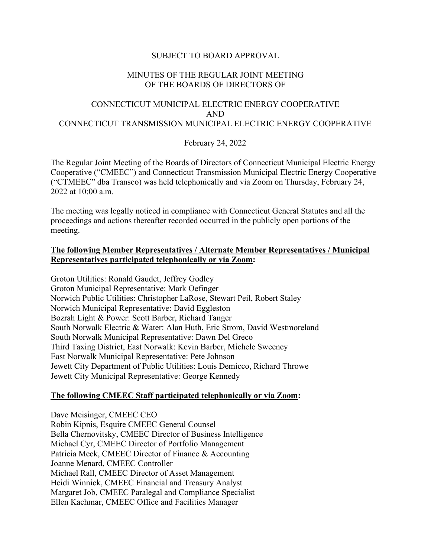# SUBJECT TO BOARD APPROVAL

# MINUTES OF THE REGULAR JOINT MEETING OF THE BOARDS OF DIRECTORS OF

# CONNECTICUT MUNICIPAL ELECTRIC ENERGY COOPERATIVE AND CONNECTICUT TRANSMISSION MUNICIPAL ELECTRIC ENERGY COOPERATIVE

## February 24, 2022

The Regular Joint Meeting of the Boards of Directors of Connecticut Municipal Electric Energy Cooperative ("CMEEC") and Connecticut Transmission Municipal Electric Energy Cooperative ("CTMEEC" dba Transco) was held telephonically and via Zoom on Thursday, February 24, 2022 at 10:00 a.m.

The meeting was legally noticed in compliance with Connecticut General Statutes and all the proceedings and actions thereafter recorded occurred in the publicly open portions of the meeting.

## **The following Member Representatives / Alternate Member Representatives / Municipal Representatives participated telephonically or via Zoom:**

Groton Utilities: Ronald Gaudet, Jeffrey Godley Groton Municipal Representative: Mark Oefinger Norwich Public Utilities: Christopher LaRose, Stewart Peil, Robert Staley Norwich Municipal Representative: David Eggleston Bozrah Light & Power: Scott Barber, Richard Tanger South Norwalk Electric & Water: Alan Huth, Eric Strom, David Westmoreland South Norwalk Municipal Representative: Dawn Del Greco Third Taxing District, East Norwalk: Kevin Barber, Michele Sweeney East Norwalk Municipal Representative: Pete Johnson Jewett City Department of Public Utilities: Louis Demicco, Richard Throwe Jewett City Municipal Representative: George Kennedy

## **The following CMEEC Staff participated telephonically or via Zoom:**

Dave Meisinger, CMEEC CEO Robin Kipnis, Esquire CMEEC General Counsel Bella Chernovitsky, CMEEC Director of Business Intelligence Michael Cyr, CMEEC Director of Portfolio Management Patricia Meek, CMEEC Director of Finance & Accounting Joanne Menard, CMEEC Controller Michael Rall, CMEEC Director of Asset Management Heidi Winnick, CMEEC Financial and Treasury Analyst Margaret Job, CMEEC Paralegal and Compliance Specialist Ellen Kachmar, CMEEC Office and Facilities Manager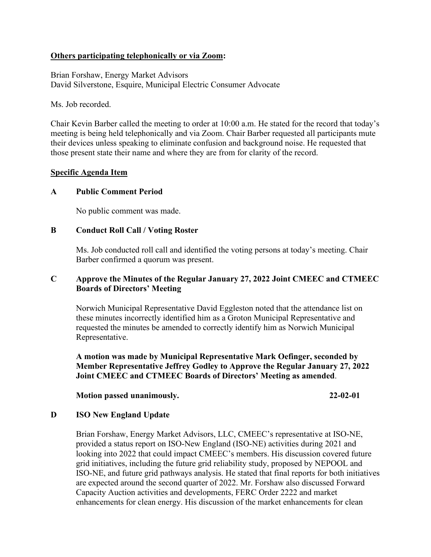# **Others participating telephonically or via Zoom:**

Brian Forshaw, Energy Market Advisors David Silverstone, Esquire, Municipal Electric Consumer Advocate

Ms. Job recorded.

Chair Kevin Barber called the meeting to order at 10:00 a.m. He stated for the record that today's meeting is being held telephonically and via Zoom. Chair Barber requested all participants mute their devices unless speaking to eliminate confusion and background noise. He requested that those present state their name and where they are from for clarity of the record.

#### **Specific Agenda Item**

## **A Public Comment Period**

No public comment was made.

## **B Conduct Roll Call / Voting Roster**

Ms. Job conducted roll call and identified the voting persons at today's meeting. Chair Barber confirmed a quorum was present.

# **C Approve the Minutes of the Regular January 27, 2022 Joint CMEEC and CTMEEC Boards of Directors' Meeting**

Norwich Municipal Representative David Eggleston noted that the attendance list on these minutes incorrectly identified him as a Groton Municipal Representative and requested the minutes be amended to correctly identify him as Norwich Municipal Representative.

**A motion was made by Municipal Representative Mark Oefinger, seconded by Member Representative Jeffrey Godley to Approve the Regular January 27, 2022 Joint CMEEC and CTMEEC Boards of Directors' Meeting as amended**.

#### **Motion passed unanimously. 22-02-01**

#### **D ISO New England Update**

Brian Forshaw, Energy Market Advisors, LLC, CMEEC's representative at ISO-NE, provided a status report on ISO-New England (ISO-NE) activities during 2021 and looking into 2022 that could impact CMEEC's members. His discussion covered future grid initiatives, including the future grid reliability study, proposed by NEPOOL and ISO-NE, and future grid pathways analysis. He stated that final reports for both initiatives are expected around the second quarter of 2022. Mr. Forshaw also discussed Forward Capacity Auction activities and developments, FERC Order 2222 and market enhancements for clean energy. His discussion of the market enhancements for clean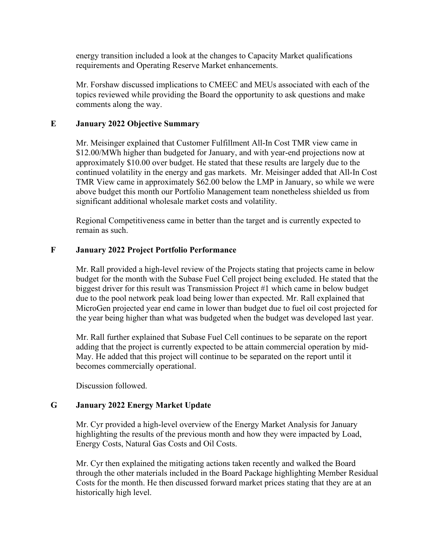energy transition included a look at the changes to Capacity Market qualifications requirements and Operating Reserve Market enhancements.

Mr. Forshaw discussed implications to CMEEC and MEUs associated with each of the topics reviewed while providing the Board the opportunity to ask questions and make comments along the way.

# **E January 2022 Objective Summary**

Mr. Meisinger explained that Customer Fulfillment All-In Cost TMR view came in \$12.00/MWh higher than budgeted for January, and with year-end projections now at approximately \$10.00 over budget. He stated that these results are largely due to the continued volatility in the energy and gas markets. Mr. Meisinger added that All-In Cost TMR View came in approximately \$62.00 below the LMP in January, so while we were above budget this month our Portfolio Management team nonetheless shielded us from significant additional wholesale market costs and volatility.

Regional Competitiveness came in better than the target and is currently expected to remain as such.

# **F January 2022 Project Portfolio Performance**

Mr. Rall provided a high-level review of the Projects stating that projects came in below budget for the month with the Subase Fuel Cell project being excluded. He stated that the biggest driver for this result was Transmission Project #1 which came in below budget due to the pool network peak load being lower than expected. Mr. Rall explained that MicroGen projected year end came in lower than budget due to fuel oil cost projected for the year being higher than what was budgeted when the budget was developed last year.

Mr. Rall further explained that Subase Fuel Cell continues to be separate on the report adding that the project is currently expected to be attain commercial operation by mid-May. He added that this project will continue to be separated on the report until it becomes commercially operational.

Discussion followed.

## **G January 2022 Energy Market Update**

Mr. Cyr provided a high-level overview of the Energy Market Analysis for January highlighting the results of the previous month and how they were impacted by Load, Energy Costs, Natural Gas Costs and Oil Costs.

Mr. Cyr then explained the mitigating actions taken recently and walked the Board through the other materials included in the Board Package highlighting Member Residual Costs for the month. He then discussed forward market prices stating that they are at an historically high level.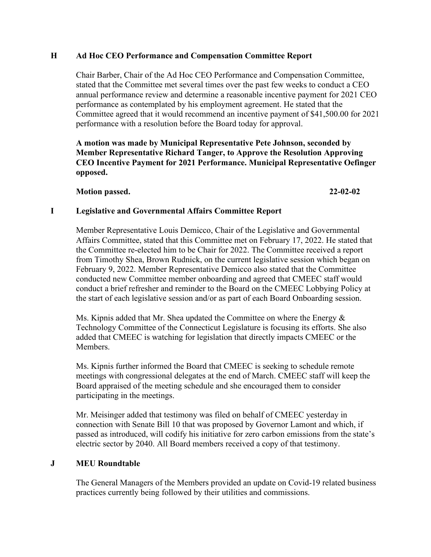# **H Ad Hoc CEO Performance and Compensation Committee Report**

Chair Barber, Chair of the Ad Hoc CEO Performance and Compensation Committee, stated that the Committee met several times over the past few weeks to conduct a CEO annual performance review and determine a reasonable incentive payment for 2021 CEO performance as contemplated by his employment agreement. He stated that the Committee agreed that it would recommend an incentive payment of \$41,500.00 for 2021 performance with a resolution before the Board today for approval.

**A motion was made by Municipal Representative Pete Johnson, seconded by Member Representative Richard Tanger, to Approve the Resolution Approving CEO Incentive Payment for 2021 Performance. Municipal Representative Oefinger opposed.**

## **Motion passed. 22-02-02**

## **I Legislative and Governmental Affairs Committee Report**

Member Representative Louis Demicco, Chair of the Legislative and Governmental Affairs Committee, stated that this Committee met on February 17, 2022. He stated that the Committee re-elected him to be Chair for 2022. The Committee received a report from Timothy Shea, Brown Rudnick, on the current legislative session which began on February 9, 2022. Member Representative Demicco also stated that the Committee conducted new Committee member onboarding and agreed that CMEEC staff would conduct a brief refresher and reminder to the Board on the CMEEC Lobbying Policy at the start of each legislative session and/or as part of each Board Onboarding session.

Ms. Kipnis added that Mr. Shea updated the Committee on where the Energy & Technology Committee of the Connecticut Legislature is focusing its efforts. She also added that CMEEC is watching for legislation that directly impacts CMEEC or the Members.

Ms. Kipnis further informed the Board that CMEEC is seeking to schedule remote meetings with congressional delegates at the end of March. CMEEC staff will keep the Board appraised of the meeting schedule and she encouraged them to consider participating in the meetings.

Mr. Meisinger added that testimony was filed on behalf of CMEEC yesterday in connection with Senate Bill 10 that was proposed by Governor Lamont and which, if passed as introduced, will codify his initiative for zero carbon emissions from the state's electric sector by 2040. All Board members received a copy of that testimony.

## **J MEU Roundtable**

The General Managers of the Members provided an update on Covid-19 related business practices currently being followed by their utilities and commissions.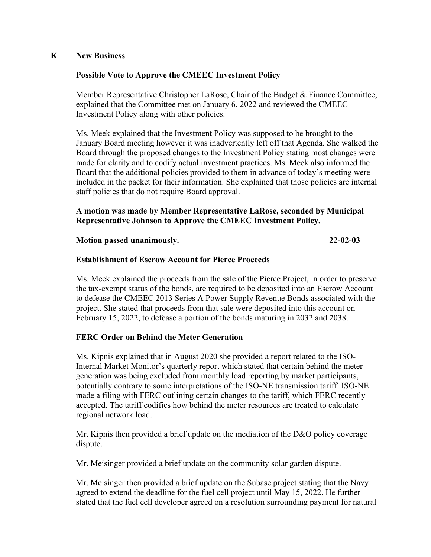## **K New Business**

## **Possible Vote to Approve the CMEEC Investment Policy**

Member Representative Christopher LaRose, Chair of the Budget & Finance Committee, explained that the Committee met on January 6, 2022 and reviewed the CMEEC Investment Policy along with other policies.

Ms. Meek explained that the Investment Policy was supposed to be brought to the January Board meeting however it was inadvertently left off that Agenda. She walked the Board through the proposed changes to the Investment Policy stating most changes were made for clarity and to codify actual investment practices. Ms. Meek also informed the Board that the additional policies provided to them in advance of today's meeting were included in the packet for their information. She explained that those policies are internal staff policies that do not require Board approval.

# **A motion was made by Member Representative LaRose, seconded by Municipal Representative Johnson to Approve the CMEEC Investment Policy.**

#### **Motion passed unanimously. 22-02-03**

#### **Establishment of Escrow Account for Pierce Proceeds**

Ms. Meek explained the proceeds from the sale of the Pierce Project, in order to preserve the tax-exempt status of the bonds, are required to be deposited into an Escrow Account to defease the CMEEC 2013 Series A Power Supply Revenue Bonds associated with the project. She stated that proceeds from that sale were deposited into this account on February 15, 2022, to defease a portion of the bonds maturing in 2032 and 2038.

# **FERC Order on Behind the Meter Generation**

Ms. Kipnis explained that in August 2020 she provided a report related to the ISO-Internal Market Monitor's quarterly report which stated that certain behind the meter generation was being excluded from monthly load reporting by market participants, potentially contrary to some interpretations of the ISO-NE transmission tariff. ISO-NE made a filing with FERC outlining certain changes to the tariff, which FERC recently accepted. The tariff codifies how behind the meter resources are treated to calculate regional network load.

Mr. Kipnis then provided a brief update on the mediation of the D&O policy coverage dispute.

Mr. Meisinger provided a brief update on the community solar garden dispute.

Mr. Meisinger then provided a brief update on the Subase project stating that the Navy agreed to extend the deadline for the fuel cell project until May 15, 2022. He further stated that the fuel cell developer agreed on a resolution surrounding payment for natural